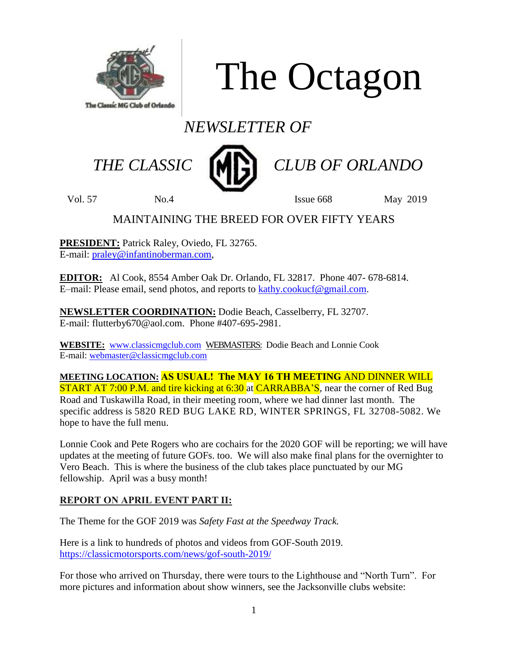

The Octagon

# *NEWSLETTER OF*



 *THE CLASSIC CLUB OF ORLANDO*

Vol. 57 No.4 Issue 668 May 2019

# MAINTAINING THE BREED FOR OVER FIFTY YEARS

**PRESIDENT:** Patrick Raley, Oviedo, FL 32765. E-mail: [praley@infantinoberman.com,](mailto:praley@infantinoberman.com)

**EDITOR:** Al Cook, 8554 Amber Oak Dr. Orlando, FL 32817. Phone 407- 678-6814. E–mail: Please email, send photos, and reports to [kathy.cookucf@gmail.com.](mailto:kathy.cookucf@gmail.com)

**NEWSLETTER COORDINATION:** Dodie Beach, Casselberry, FL 32707. E-mail: flutterby670@aol.com. Phone #407-695-2981.

**WEBSITE:** [www.classicmgclub.com](http://www.classicmgclub.com/) WEBMASTERS: Dodie Beach and Lonnie Cook E-mail[: webmaster@classicmgclub.com](mailto:webmaster@classicmgclub.com)

**MEETING LOCATION: AS USUAL! The MAY 16 TH MEETING** AND DINNER WILL **START AT 7:00 P.M. and tire kicking at 6:30 at CARRABBA'S, near the corner of Red Bug** Road and Tuskawilla Road, in their meeting room, where we had dinner last month. The specific address is 5820 RED BUG LAKE RD, WINTER SPRINGS, FL 32708-5082. We hope to have the full menu.

Lonnie Cook and Pete Rogers who are cochairs for the 2020 GOF will be reporting; we will have updates at the meeting of future GOFs. too. We will also make final plans for the overnighter to Vero Beach. This is where the business of the club takes place punctuated by our MG fellowship. April was a busy month!

## **REPORT ON APRIL EVENT PART II:**

The Theme for the GOF 2019 was *Safety Fast at the Speedway Track.* 

Here is a link to hundreds of photos and videos from GOF-South 2019. <https://classicmotorsports.com/news/gof-south-2019/>

For those who arrived on Thursday, there were tours to the Lighthouse and "North Turn". For more pictures and information about show winners, see the Jacksonville clubs website: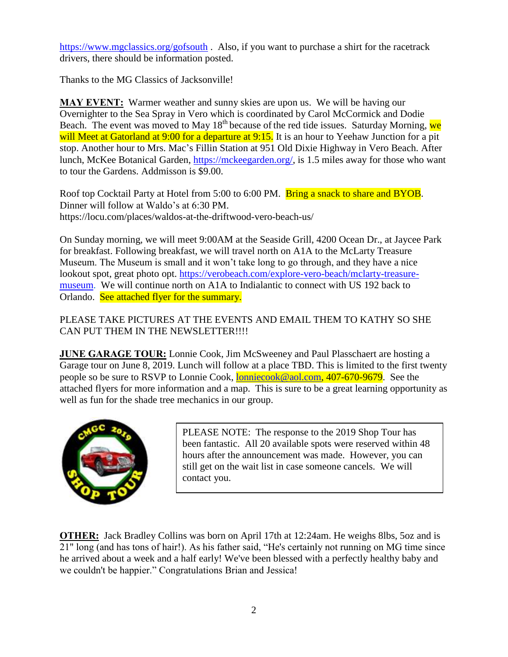<https://www.mgclassics.org/gofsouth> . Also, if you want to purchase a shirt for the racetrack drivers, there should be information posted.

Thanks to the MG Classics of Jacksonville!

**MAY EVENT:** Warmer weather and sunny skies are upon us. We will be having our Overnighter to the Sea Spray in Vero which is coordinated by Carol McCormick and Dodie Beach. The event was moved to May  $18<sup>th</sup>$  because of the red tide issues. Saturday Morning, we will Meet at Gatorland at 9:00 for a departure at 9:15. It is an hour to Yeehaw Junction for a pit stop. Another hour to Mrs. Mac's Fillin Station at 951 Old Dixie Highway in Vero Beach. After lunch, McKee Botanical Garden, [https://mckeegarden.org/,](https://mckeegarden.org/) is 1.5 miles away for those who want to tour the Gardens. Addmisson is \$9.00.

Roof top Cocktail Party at Hotel from 5:00 to 6:00 PM. Bring a snack to share and BYOB. Dinner will follow at Waldo's at 6:30 PM. https://locu.com/places/waldos-at-the-driftwood-vero-beach-us/

On Sunday morning, we will meet 9:00AM at the Seaside Grill, 4200 Ocean Dr., at Jaycee Park for breakfast. Following breakfast, we will travel north on A1A to the McLarty Treasure Museum. The Museum is small and it won't take long to go through, and they have a nice lookout spot, great photo opt. [https://verobeach.com/explore-vero-beach/mclarty-treasure](https://verobeach.com/explore-vero-beach/mclarty-treasure-museum)[museum.](https://verobeach.com/explore-vero-beach/mclarty-treasure-museum) We will continue north on A1A to Indialantic to connect with US 192 back to Orlando. See attached flyer for the summary.

PLEASE TAKE PICTURES AT THE EVENTS AND EMAIL THEM TO KATHY SO SHE CAN PUT THEM IN THE NEWSLETTER!!!!

**JUNE GARAGE TOUR:** Lonnie Cook, Jim McSweeney and Paul Plasschaert are hosting a Garage tour on June 8, 2019. Lunch will follow at a place TBD. This is limited to the first twenty people so be sure to RSVP to Lonnie Cook, [lonniecook@aol.com,](mailto:lonniecook@aol.com) 407-670-9679. See the attached flyers for more information and a map. This is sure to be a great learning opportunity as well as fun for the shade tree mechanics in our group.



PLEASE NOTE: The response to the 2019 Shop Tour has been fantastic. All 20 available spots were reserved within 48 hours after the announcement was made. However, you can still get on the wait list in case someone cancels. We will contact you.

**OTHER:** Jack Bradley Collins was born on April 17th at 12:24am. He weighs 8lbs, 5oz and is 21" long (and has tons of hair!). As his father said, "He's certainly not running on MG time since he arrived about a week and a half early! We've been blessed with a perfectly healthy baby and we couldn't be happier." Congratulations Brian and Jessica!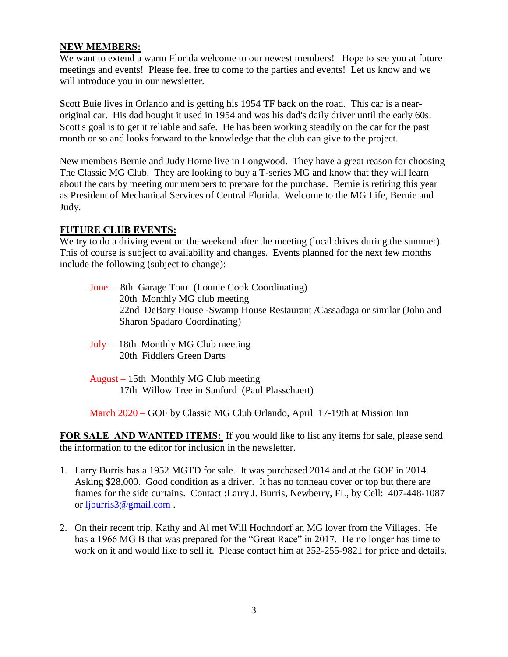### **NEW MEMBERS:**

We want to extend a warm Florida welcome to our newest members! Hope to see you at future meetings and events! Please feel free to come to the parties and events! Let us know and we will introduce you in our newsletter.

Scott Buie lives in Orlando and is getting his 1954 TF back on the road. This car is a nearoriginal car. His dad bought it used in 1954 and was his dad's daily driver until the early 60s. Scott's goal is to get it reliable and safe. He has been working steadily on the car for the past month or so and looks forward to the knowledge that the club can give to the project.

New members Bernie and Judy Horne live in Longwood. They have a great reason for choosing The Classic MG Club. They are looking to buy a T-series MG and know that they will learn about the cars by meeting our members to prepare for the purchase. Bernie is retiring this year as President of Mechanical Services of Central Florida. Welcome to the MG Life, Bernie and Judy.

#### **FUTURE CLUB EVENTS:**

We try to do a driving event on the weekend after the meeting (local drives during the summer). This of course is subject to availability and changes. Events planned for the next few months include the following (subject to change):

- June 8th Garage Tour (Lonnie Cook Coordinating) 20th Monthly MG club meeting 22nd DeBary House -Swamp House Restaurant /Cassadaga or similar (John and Sharon Spadaro Coordinating)
- July 18th Monthly MG Club meeting 20th Fiddlers Green Darts
- August 15th Monthly MG Club meeting 17th Willow Tree in Sanford (Paul Plasschaert)

March 2020 – GOF by Classic MG Club Orlando, April 17-19th at Mission Inn

**FOR SALE AND WANTED ITEMS:** If you would like to list any items for sale, please send the information to the editor for inclusion in the newsletter.

- 1. Larry Burris has a 1952 MGTD for sale. It was purchased 2014 and at the GOF in 2014. Asking \$28,000. Good condition as a driver. It has no tonneau cover or top but there are frames for the side curtains. Contact :Larry J. Burris, Newberry, FL, by Cell: 407-448-1087 or [ljburris3@gmail.com](mailto:ljburris3@gmail.com) .
- 2. On their recent trip, Kathy and Al met Will Hochndorf an MG lover from the Villages. He has a 1966 MG B that was prepared for the "Great Race" in 2017. He no longer has time to work on it and would like to sell it. Please contact him at 252-255-9821 for price and details.